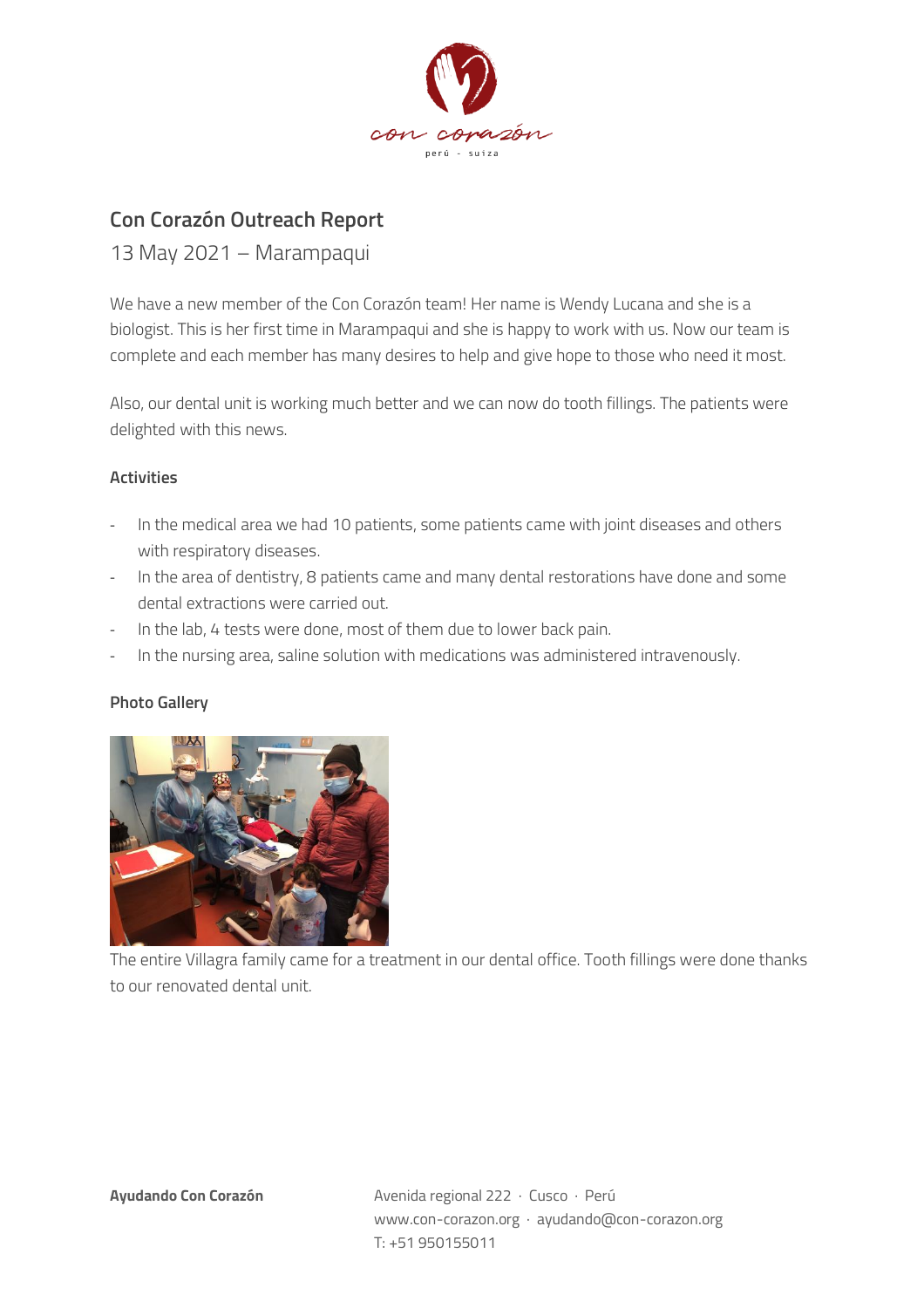

## **Con Corazón Outreach Report**

13 May 2021 – Marampaqui

We have a new member of the Con Corazón team! Her name is Wendy Lucana and she is a biologist. This is her first time in Marampaqui and she is happy to work with us. Now our team is complete and each member has many desires to help and give hope to those who need it most.

Also, our dental unit is working much better and we can now do tooth fillings. The patients were delighted with this news.

## **Activities**

- In the medical area we had 10 patients, some patients came with joint diseases and others with respiratory diseases.
- In the area of dentistry, 8 patients came and many dental restorations have done and some dental extractions were carried out.
- In the lab, 4 tests were done, most of them due to lower back pain.
- In the nursing area, saline solution with medications was administered intravenously.

## **Photo Gallery**



The entire Villagra family came for a treatment in our dental office. Tooth fillings were done thanks to our renovated dental unit.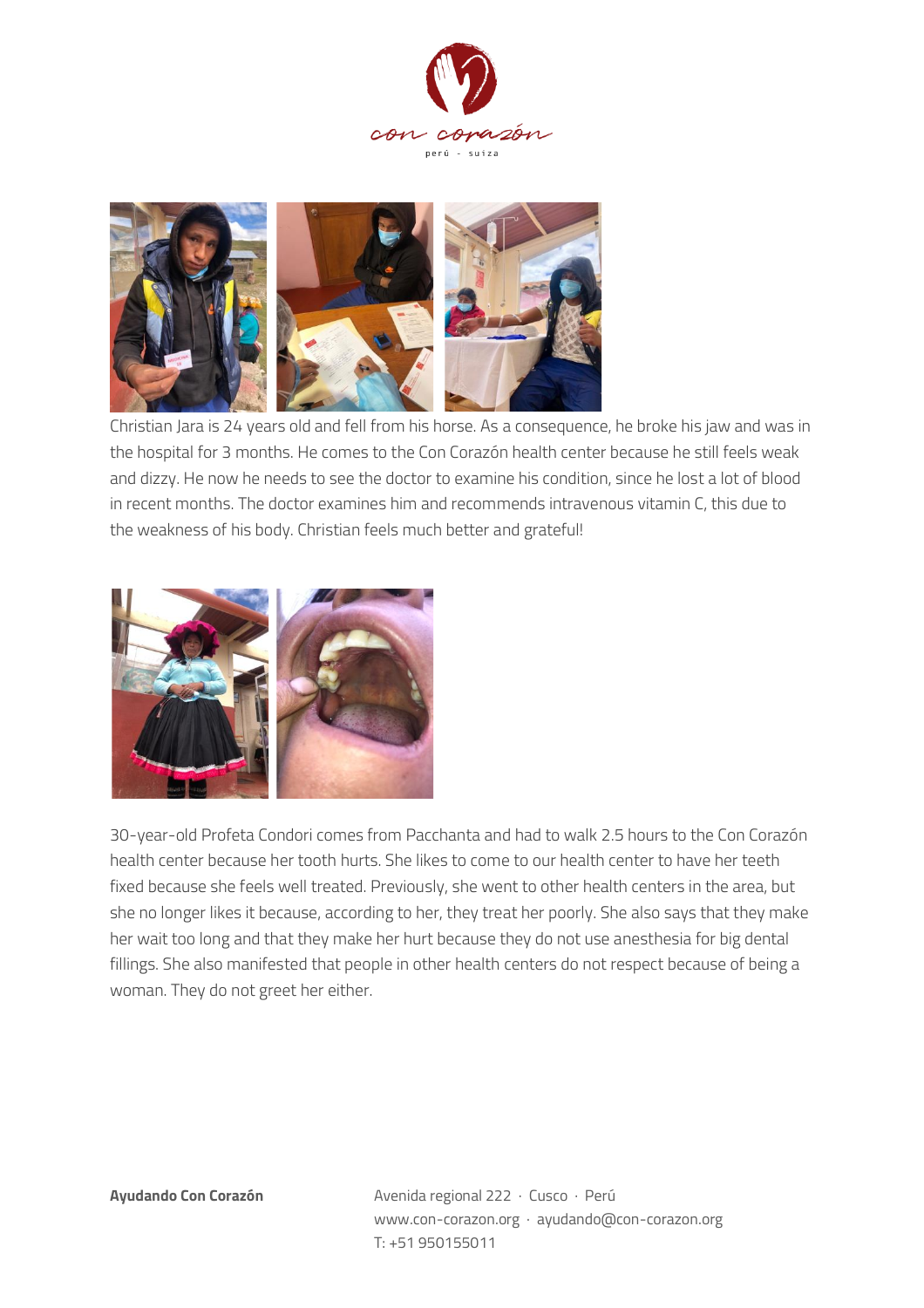



Christian Jara is 24 years old and fell from his horse. As a consequence, he broke his jaw and was in the hospital for 3 months. He comes to the Con Corazón health center because he still feels weak and dizzy. He now he needs to see the doctor to examine his condition, since he lost a lot of blood in recent months. The doctor examines him and recommends intravenous vitamin C, this due to the weakness of his body. Christian feels much better and grateful!



30-year-old Profeta Condori comes from Pacchanta and had to walk 2.5 hours to the Con Corazón health center because her tooth hurts. She likes to come to our health center to have her teeth fixed because she feels well treated. Previously, she went to other health centers in the area, but she no longer likes it because, according to her, they treat her poorly. She also says that they make her wait too long and that they make her hurt because they do not use anesthesia for big dental fillings. She also manifested that people in other health centers do not respect because of being a woman. They do not greet her either.

**Ayudando Con Corazón** Avenida regional 222 · Cusco · Perú www.con-corazon.org · ayudando@con-corazon.org T: +51 950155011